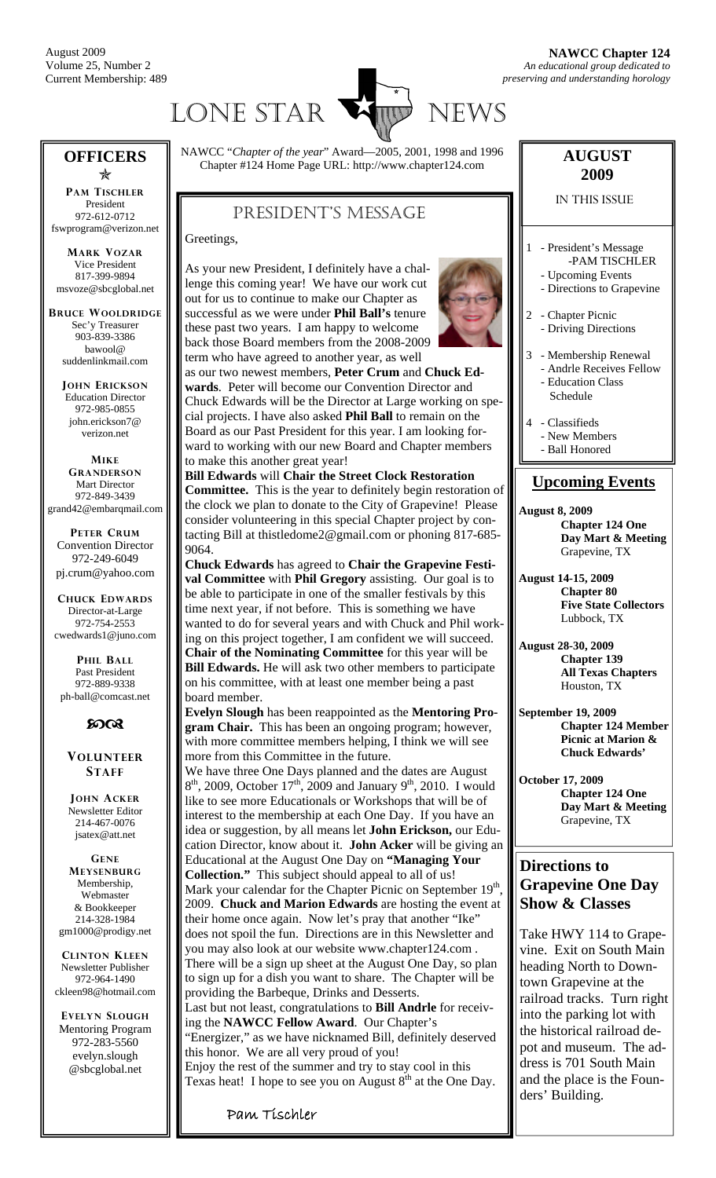

#### **OFFICERS**   $\bigstar$

**PAM TISCHLER** President 972-612-0712 fswprogram@verizon.net

**MARK VOZAR** Vice President 817-399-9894 msvoze@sbcglobal.net

**BRUCE WOOLDRIDGE** Sec'y Treasurer 903-839-3386 bawool@ suddenlinkmail.com

> **JOHN ERICKSON** Education Director 972-985-0855 john.erickson7@ verizon.net

**MIKE GRANDERSON** Mart Director 972-849-3439 grand42@embarqmail.com

**PETER CRUM** Convention Director 972-249-6049 pj.crum@yahoo.com

**CHUCK EDWARDS** Director-at-Large 972-754-2553 cwedwards1@juno.com

**PHIL BALL** Past President 972-889-9338 ph-ball@comcast.net



**VOLUNTEER STAFF**

**JOHN ACKER** Newsletter Editor 214-467-0076 jsatex@att.net

**GENE MEYSENBURG** Membership, Webmaster & Bookkeeper 214-328-1984 gm1000@prodigy.net

**CLINTON KLEEN** Newsletter Publisher 972-964-1490 ckleen98@hotmail.com

**EVELYN SLOUGH** Mentoring Program 972-283-5560 evelyn.slough @sbcglobal.net

NAWCC "*Chapter of the year*" Award—2005, 2001, 1998 and 1996 Chapter #124 Home Page URL: http://www.chapter124.com

# PRESIDENT'S MESSAGE

Greetings,

As your new President, I definitely have a challenge this coming year! We have our work cut out for us to continue to make our Chapter as successful as we were under **Phil Ball's** tenure these past two years. I am happy to welcome back those Board members from the 2008-2009 term who have agreed to another year, as well as our two newest members, **Peter Crum** and **Chuck Edwards**. Peter will become our Convention Director and Chuck Edwards will be the Director at Large working on special projects. I have also asked **Phil Ball** to remain on the Board as our Past President for this year. I am looking forward to working with our new Board and Chapter members to make this another great year!

**Bill Edwards** will **Chair the Street Clock Restoration Committee.** This is the year to definitely begin restoration of the clock we plan to donate to the City of Grapevine! Please consider volunteering in this special Chapter project by contacting Bill at thistledome2@gmail.com or phoning 817-685- 9064.

**Chuck Edwards** has agreed to **Chair the Grapevine Festival Committee** with **Phil Gregory** assisting. Our goal is to be able to participate in one of the smaller festivals by this time next year, if not before. This is something we have wanted to do for several years and with Chuck and Phil working on this project together, I am confident we will succeed. **Chair of the Nominating Committee** for this year will be **Bill Edwards.** He will ask two other members to participate on his committee, with at least one member being a past board member.

**Evelyn Slough** has been reappointed as the **Mentoring Program Chair.** This has been an ongoing program; however, with more committee members helping, I think we will see more from this Committee in the future.

We have three One Days planned and the dates are August  $8<sup>th</sup>$ , 2009, October 17<sup>th</sup>, 2009 and January 9<sup>th</sup>, 2010. I would like to see more Educationals or Workshops that will be of interest to the membership at each One Day. If you have an idea or suggestion, by all means let **John Erickson,** our Education Director, know about it. **John Acker** will be giving an Educational at the August One Day on **"Managing Your Collection."** This subject should appeal to all of us! Mark your calendar for the Chapter Picnic on September 19<sup>th</sup>, 2009. **Chuck and Marion Edwards** are hosting the event at their home once again. Now let's pray that another "Ike" does not spoil the fun. Directions are in this Newsletter and you may also look at our website www.chapter124.com . There will be a sign up sheet at the August One Day, so plan to sign up for a dish you want to share. The Chapter will be providing the Barbeque, Drinks and Desserts. Last but not least, congratulations to **Bill Andrle** for receiving the **NAWCC Fellow Award**. Our Chapter's "Energizer," as we have nicknamed Bill, definitely deserved

this honor. We are all very proud of you! Enjoy the rest of the summer and try to stay cool in this Texas heat! I hope to see you on August  $8<sup>th</sup>$  at the One Day.

Pam Tischler



IN THIS ISSUE

- 1 President's Message -PAM TISCHLER
	- Upcoming Events
	- Directions to Grapevine
- 2 Chapter Picnic - Driving Directions
- 3 Membership Renewal
- Andrle Receives Fellow - Education Class Schedule
- 4 Classifieds - New Members - Ball Honored

### **Upcoming Events**

**August 8, 2009 Chapter 124 One Day Mart & Meeting**  Grapevine, TX

**August 14-15, 2009 Chapter 80 Five State Collectors**  Lubbock, TX

- **August 28-30, 2009 Chapter 139 All Texas Chapters**  Houston, TX
- **September 19, 2009 Chapter 124 Member Picnic at Marion & Chuck Edwards'**
- **October 17, 2009 Chapter 124 One Day Mart & Meeting**  Grapevine, TX

### **Directions to Grapevine One Day Show & Classes**

Take HWY 114 to Grapevine. Exit on South Main heading North to Downtown Grapevine at the railroad tracks. Turn right into the parking lot with the historical railroad depot and museum. The address is 701 South Main and the place is the Founders' Building.

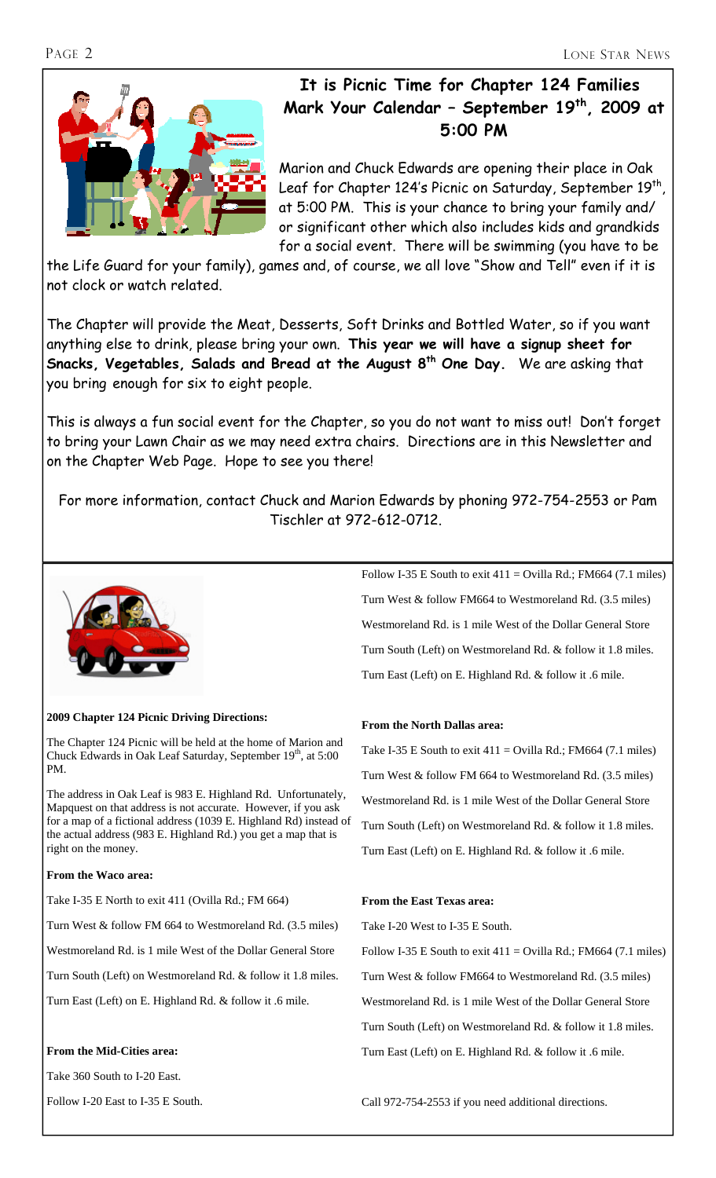

# **It is Picnic Time for Chapter 124 Families Mark Your Calendar – September 19th, 2009 at 5:00 PM**

Marion and Chuck Edwards are opening their place in Oak Leaf for Chapter 124's Picnic on Saturday, September 19th, at 5:00 PM. This is your chance to bring your family and/ or significant other which also includes kids and grandkids for a social event. There will be swimming (you have to be

the Life Guard for your family), games and, of course, we all love "Show and Tell" even if it is not clock or watch related.

The Chapter will provide the Meat, Desserts, Soft Drinks and Bottled Water, so if you want anything else to drink, please bring your own. **This year we will have a signup sheet for Snacks, Vegetables, Salads and Bread at the August 8th One Day.** We are asking that you bring enough for six to eight people.

This is always a fun social event for the Chapter, so you do not want to miss out! Don't forget to bring your Lawn Chair as we may need extra chairs. Directions are in this Newsletter and on the Chapter Web Page. Hope to see you there!

For more information, contact Chuck and Marion Edwards by phoning 972-754-2553 or Pam Tischler at 972-612-0712.



#### **2009 Chapter 124 Picnic Driving Directions:**

The Chapter 124 Picnic will be held at the home of Marion and Chuck Edwards in Oak Leaf Saturday, September 19<sup>th</sup>, at 5:00 PM.

The address in Oak Leaf is 983 E. Highland Rd. Unfortunately, Mapquest on that address is not accurate. However, if you ask for a map of a fictional address (1039 E. Highland Rd) instead of the actual address (983 E. Highland Rd.) you get a map that is right on the money.

#### **From the Waco area:**

Take I-35 E North to exit 411 (Ovilla Rd.; FM 664)

Turn West & follow FM 664 to Westmoreland Rd. (3.5 miles)

Westmoreland Rd. is 1 mile West of the Dollar General Store

Turn South (Left) on Westmoreland Rd. & follow it 1.8 miles.

Turn East (Left) on E. Highland Rd. & follow it .6 mile.

#### **From the Mid-Cities area:**

Take 360 South to I-20 East.

Follow I-20 East to I-35 E South.

Follow I-35 E South to exit  $411 =$  Ovilla Rd.; FM664 (7.1 miles) Turn West & follow FM664 to Westmoreland Rd. (3.5 miles) Westmoreland Rd. is 1 mile West of the Dollar General Store Turn South (Left) on Westmoreland Rd. & follow it 1.8 miles. Turn East (Left) on E. Highland Rd. & follow it .6 mile.

#### **From the North Dallas area:**

Take I-35 E South to exit  $411 =$  Ovilla Rd.; FM664 (7.1 miles) Turn West & follow FM 664 to Westmoreland Rd. (3.5 miles) Westmoreland Rd. is 1 mile West of the Dollar General Store Turn South (Left) on Westmoreland Rd. & follow it 1.8 miles. Turn East (Left) on E. Highland Rd. & follow it .6 mile.

#### **From the East Texas area:**

Take I-20 West to I-35 E South.

Follow I-35 E South to exit  $411 =$  Ovilla Rd.; FM664 (7.1 miles) Turn West & follow FM664 to Westmoreland Rd. (3.5 miles) Westmoreland Rd. is 1 mile West of the Dollar General Store Turn South (Left) on Westmoreland Rd. & follow it 1.8 miles. Turn East (Left) on E. Highland Rd. & follow it .6 mile.

Call 972-754-2553 if you need additional directions.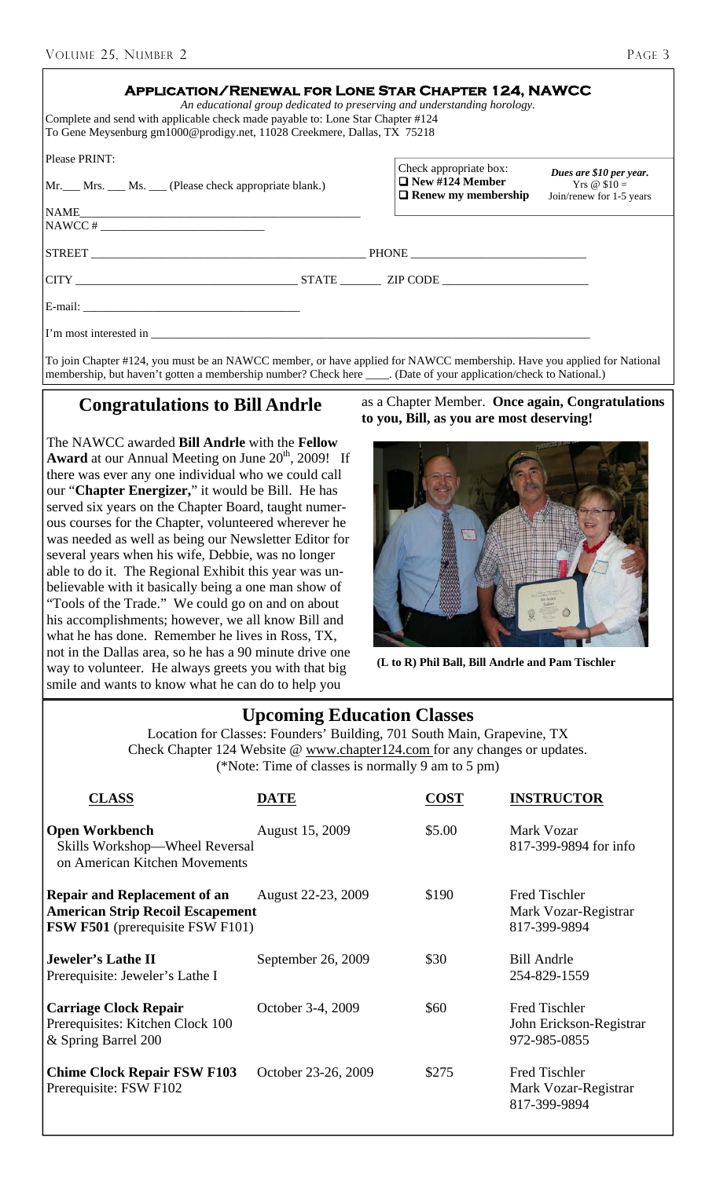| ٠ | ×<br>I |
|---|--------|
|---|--------|

| <b>APPLICATION/RENEWAL FOR LONE STAR CHAPTER 124, NAWCC</b><br>An educational group dedicated to preserving and understanding horology.<br>Complete and send with applicable check made payable to: Lone Star Chapter #124<br>To Gene Meysenburg gm1000@prodigy.net, 11028 Creekmere, Dallas, TX 75218 |                                                                                |                                                                      |
|--------------------------------------------------------------------------------------------------------------------------------------------------------------------------------------------------------------------------------------------------------------------------------------------------------|--------------------------------------------------------------------------------|----------------------------------------------------------------------|
| Please PRINT:<br>Mr. Mrs. Ms. Chease check appropriate blank.)                                                                                                                                                                                                                                         | Check appropriate box:<br>$\Box$ New #124 Member<br>$\Box$ Renew my membership | Dues are \$10 per year.<br>Yrs @ $$10 =$<br>Join/renew for 1-5 years |
|                                                                                                                                                                                                                                                                                                        |                                                                                |                                                                      |
|                                                                                                                                                                                                                                                                                                        |                                                                                |                                                                      |
|                                                                                                                                                                                                                                                                                                        |                                                                                |                                                                      |
|                                                                                                                                                                                                                                                                                                        |                                                                                |                                                                      |
|                                                                                                                                                                                                                                                                                                        |                                                                                |                                                                      |

To join Chapter #124, you must be an NAWCC member, or have applied for NAWCC membership. Have you applied for National membership, but haven't gotten a membership number? Check here \_\_\_\_. (Date of your application/check to National.)

### **Congratulations to Bill Andrle**

The NAWCC awarded **Bill Andrle** with the **Fellow Award** at our Annual Meeting on June  $20<sup>th</sup>$ , 2009! If there was ever any one individual who we could call our "**Chapter Energizer,**" it would be Bill. He has served six years on the Chapter Board, taught numerous courses for the Chapter, volunteered wherever he was needed as well as being our Newsletter Editor for several years when his wife, Debbie, was no longer able to do it. The Regional Exhibit this year was unbelievable with it basically being a one man show of "Tools of the Trade." We could go on and on about his accomplishments; however, we all know Bill and what he has done. Remember he lives in Ross, TX, not in the Dallas area, so he has a 90 minute drive one way to volunteer. He always greets you with that big smile and wants to know what he can do to help you

as a Chapter Member. **Once again, Congratulations to you, Bill, as you are most deserving!**



**(L to R) Phil Ball, Bill Andrle and Pam Tischler** 

### **Upcoming Education Classes**

Location for Classes: Founders' Building, 701 South Main, Grapevine, TX Check Chapter 124 Website @ www.chapter124.com for any changes or updates. (\*Note: Time of classes is normally 9 am to 5 pm)

| <b>CLASS</b>                                                                                                              | DATE                | <b>COST</b> | <b>INSTRUCTOR</b>                                            |
|---------------------------------------------------------------------------------------------------------------------------|---------------------|-------------|--------------------------------------------------------------|
| <b>Open Workbench</b><br>Skills Workshop—Wheel Reversal<br>on American Kitchen Movements                                  | August 15, 2009     | \$5.00      | Mark Vozar<br>817-399-9894 for info                          |
| <b>Repair and Replacement of an</b><br><b>American Strip Recoil Escapement</b><br><b>FSW F501</b> (prerequisite FSW F101) | August 22-23, 2009  | \$190       | <b>Fred Tischler</b><br>Mark Vozar-Registrar<br>817-399-9894 |
| <b>Jeweler's Lathe II</b><br>Prerequisite: Jeweler's Lathe I                                                              | September 26, 2009  | \$30        | <b>Bill Andrle</b><br>254-829-1559                           |
| <b>Carriage Clock Repair</b><br>Prerequisites: Kitchen Clock 100<br>& Spring Barrel 200                                   | October 3-4, 2009   | \$60        | Fred Tischler<br>John Erickson-Registrar<br>972-985-0855     |
| <b>Chime Clock Repair FSW F103</b><br>Prerequisite: FSW F102                                                              | October 23-26, 2009 | \$275       | <b>Fred Tischler</b><br>Mark Vozar-Registrar<br>817-399-9894 |